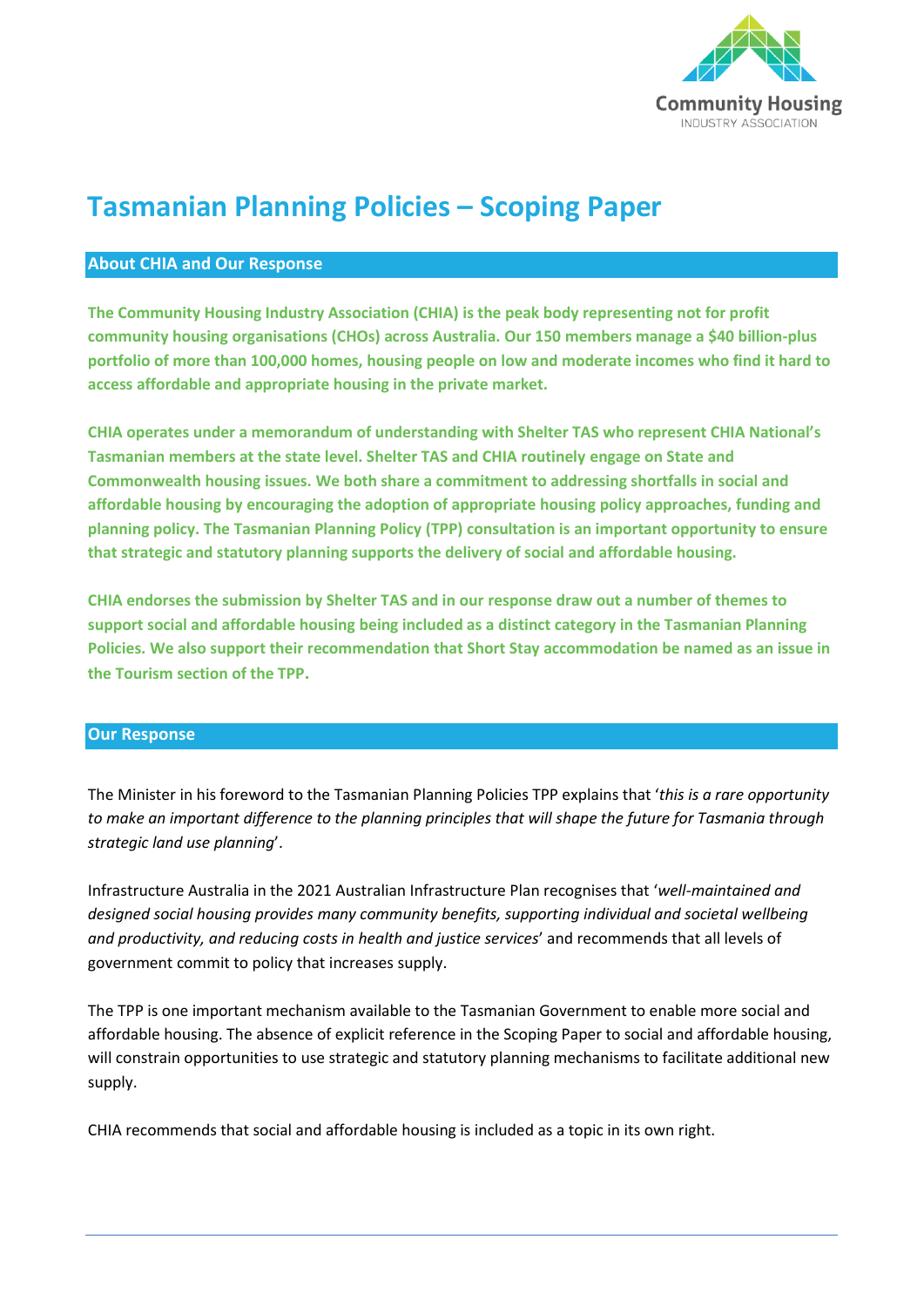

# **Tasmanian Planning Policies – Scoping Paper**

# **About CHIA and Our Response**

**The Community Housing Industry Association (CHIA) is the peak body representing not for profit community housing organisations (CHOs) across Australia. Our 150 members manage a \$40 billion-plus portfolio of more than 100,000 homes, housing people on low and moderate incomes who find it hard to access affordable and appropriate housing in the private market.** 

**CHIA operates under a memorandum of understanding with Shelter TAS who represent CHIA National's Tasmanian members at the state level. Shelter TAS and CHIA routinely engage on State and Commonwealth housing issues. We both share a commitment to addressing shortfalls in social and affordable housing by encouraging the adoption of appropriate housing policy approaches, funding and planning policy. The Tasmanian Planning Policy (TPP) consultation is an important opportunity to ensure that strategic and statutory planning supports the delivery of social and affordable housing.** 

**CHIA endorses the submission by Shelter TAS and in our response draw out a number of themes to support social and affordable housing being included as a distinct category in the Tasmanian Planning Policies. We also support their recommendation that Short Stay accommodation be named as an issue in the Tourism section of the TPP.**

#### **Our Response**

The Minister in his foreword to the Tasmanian Planning Policies TPP explains that '*this is a rare opportunity to make an important difference to the planning principles that will shape the future for Tasmania through strategic land use planning*'.

Infrastructure Australia in the 2021 Australian Infrastructure Plan recognises that '*well-maintained and designed social housing provides many community benefits, supporting individual and societal wellbeing and productivity, and reducing costs in health and justice services*' and recommends that all levels of government commit to policy that increases supply.

The TPP is one important mechanism available to the Tasmanian Government to enable more social and affordable housing. The absence of explicit reference in the Scoping Paper to social and affordable housing, will constrain opportunities to use strategic and statutory planning mechanisms to facilitate additional new supply.

CHIA recommends that social and affordable housing is included as a topic in its own right.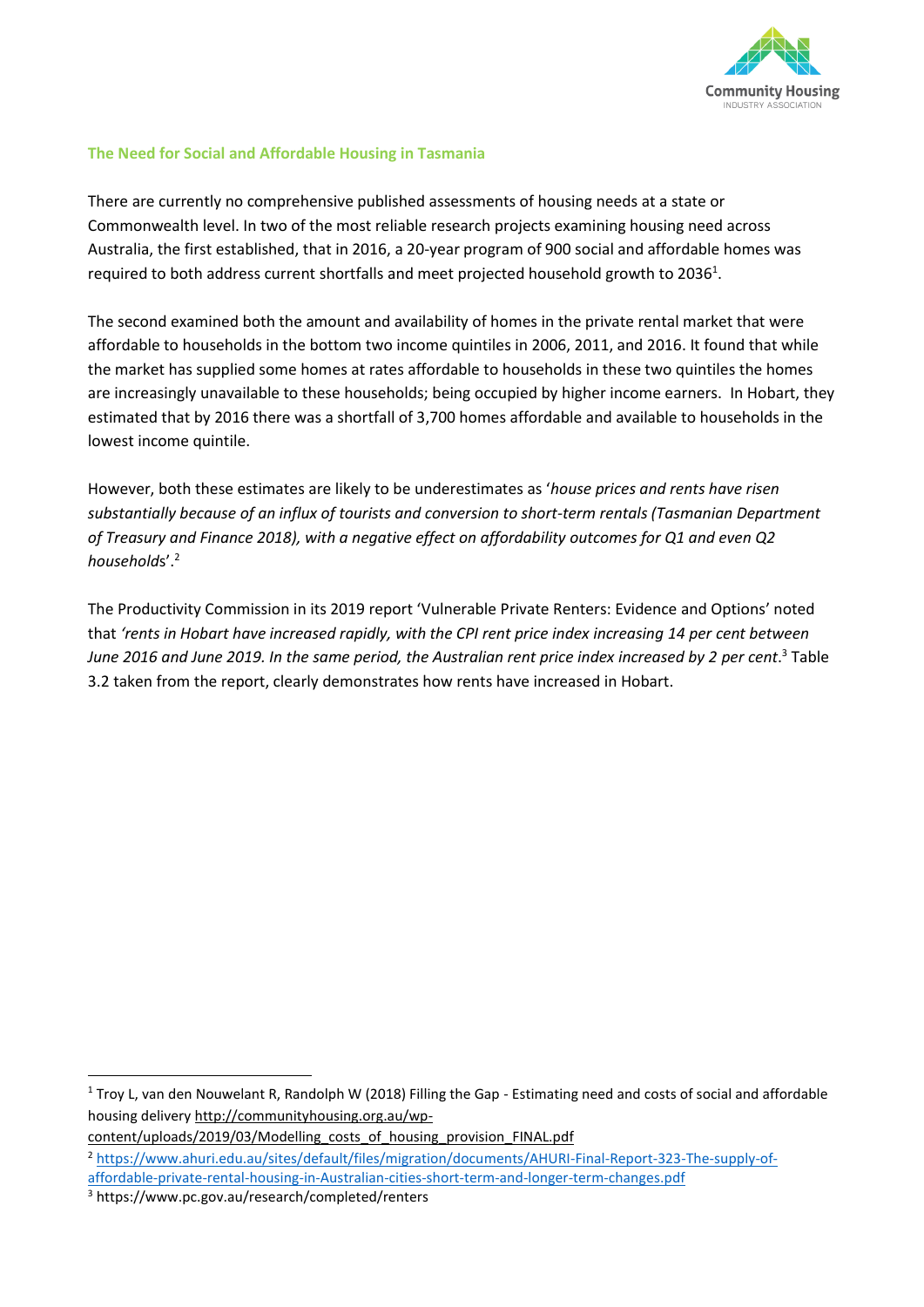

## **The Need for Social and Affordable Housing in Tasmania**

There are currently no comprehensive published assessments of housing needs at a state or Commonwealth level. In two of the most reliable research projects examining housing need across Australia, the first established, that in 2016, a 20-year program of 900 social and affordable homes was required to both address current shortfalls and meet projected household growth to 2036<sup>1</sup>.

The second examined both the amount and availability of homes in the private rental market that were affordable to households in the bottom two income quintiles in 2006, 2011, and 2016. It found that while the market has supplied some homes at rates affordable to households in these two quintiles the homes are increasingly unavailable to these households; being occupied by higher income earners. In Hobart, they estimated that by 2016 there was a shortfall of 3,700 homes affordable and available to households in the lowest income quintile.

However, both these estimates are likely to be underestimates as '*house prices and rents have risen substantially because of an influx of tourists and conversion to short-term rentals (Tasmanian Department of Treasury and Finance 2018), with a negative effect on affordability outcomes for Q1 and even Q2 household*s'.<sup>2</sup>

The Productivity Commission in its 2019 report 'Vulnerable Private Renters: Evidence and Options' noted that *'rents in Hobart have increased rapidly, with the CPI rent price index increasing 14 per cent between June 2016 and June 2019. In the same period, the Australian rent price index increased by 2 per cent*. <sup>3</sup> Table 3.2 taken from the report, clearly demonstrates how rents have increased in Hobart.

<sup>&</sup>lt;sup>1</sup> Troy L, van den Nouwelant R, Randolph W (2018) Filling the Gap - Estimating need and costs of social and affordable housing delivery http://communityhousing.org.au/wp-

content/uploads/2019/03/Modelling\_costs\_of\_housing\_provision\_FINAL.pdf

<sup>2</sup> [https://www.ahuri.edu.au/sites/default/files/migration/documents/AHURI-Final-Report-323-The-supply-of-](https://www.ahuri.edu.au/sites/default/files/migration/documents/AHURI-Final-Report-323-The-supply-of-affordable-private-rental-housing-in-Australian-cities-short-term-and-longer-term-changes.pdf)

[affordable-private-rental-housing-in-Australian-cities-short-term-and-longer-term-changes.pdf](https://www.ahuri.edu.au/sites/default/files/migration/documents/AHURI-Final-Report-323-The-supply-of-affordable-private-rental-housing-in-Australian-cities-short-term-and-longer-term-changes.pdf)

<sup>3</sup> https://www.pc.gov.au/research/completed/renters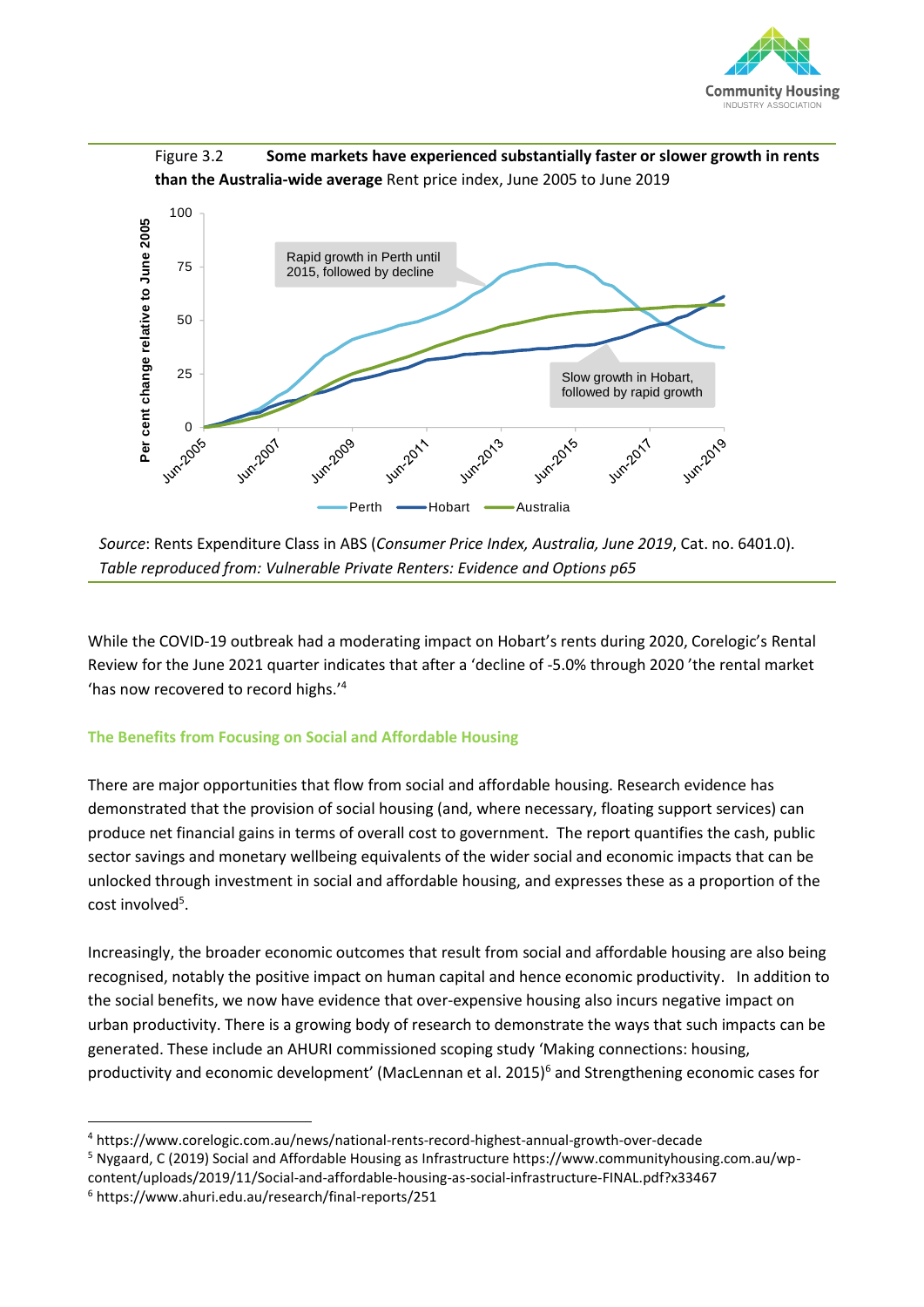



*Source*: Rents Expenditure Class in ABS (*Consumer Price Index, Australia, June 2019*, Cat. no. 6401.0). *Table reproduced from: Vulnerable Private Renters: Evidence and Options p65*

While the COVID-19 outbreak had a moderating impact on Hobart's rents during 2020, Corelogic's [Rental](https://www.corelogic.com.au/reports/quarterly-rental-review)  [Review for the June 2021 quarter](https://www.corelogic.com.au/reports/quarterly-rental-review) indicates that after a 'decline of -5.0% through 2020 'the rental market 'has now recovered to record highs.'<sup>4</sup>

# **The Benefits from Focusing on Social and Affordable Housing**

There are major opportunities that flow from social and affordable housing. Research evidence has demonstrated that the provision of social housing (and, where necessary, floating support services) can produce net financial gains in terms of overall cost to government. The report quantifies the cash, public sector savings and monetary wellbeing equivalents of the wider social and economic impacts that can be unlocked through investment in social and affordable housing, and expresses these as a proportion of the cost involved<sup>5</sup>.

Increasingly, the broader economic outcomes that result from social and affordable housing are also being recognised, notably the positive impact on human capital and hence economic productivity. In addition to the social benefits, we now have evidence that over-expensive housing also incurs negative impact on urban productivity. There is a growing body of research to demonstrate the ways that such impacts can be generated. These include an AHURI commissioned scoping study 'Making connections: housing, productivity and economic development' (MacLennan et al. 2015)<sup>6</sup> and Strengthening economic cases for

<sup>4</sup> https://www.corelogic.com.au/news/national-rents-record-highest-annual-growth-over-decade

<sup>5</sup> Nygaard, C (2019) Social and Affordable Housing as Infrastructure https://www.communityhousing.com.au/wp-

content/uploads/2019/11/Social-and-affordable-housing-as-social-infrastructure-FINAL.pdf?x33467 <sup>6</sup> https://www.ahuri.edu.au/research/final-reports/251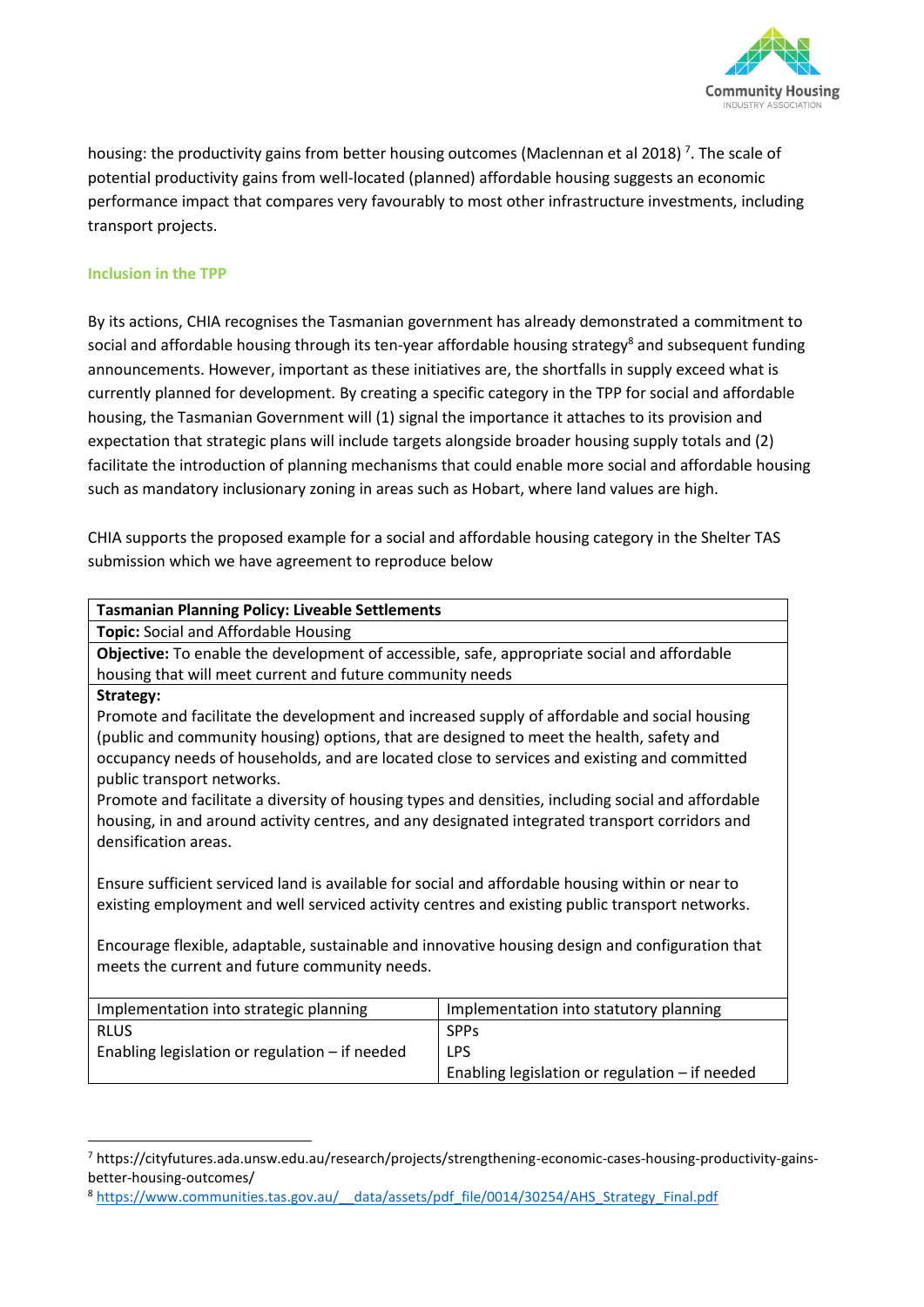

housing: the productivity gains from better housing outcomes (Maclennan et al 2018)<sup>7</sup>. The scale of potential productivity gains from well-located (planned) affordable housing suggests an economic performance impact that compares very favourably to most other infrastructure investments, including transport projects.

### **Inclusion in the TPP**

By its actions, CHIA recognises the Tasmanian government has already demonstrated a commitment to social and affordable housing through its ten-year affordable housing strategy<sup>8</sup> and subsequent funding announcements. However, important as these initiatives are, the shortfalls in supply exceed what is currently planned for development. By creating a specific category in the TPP for social and affordable housing, the Tasmanian Government will (1) signal the importance it attaches to its provision and expectation that strategic plans will include targets alongside broader housing supply totals and (2) facilitate the introduction of planning mechanisms that could enable more social and affordable housing such as mandatory inclusionary zoning in areas such as Hobart, where land values are high.

CHIA supports the proposed example for a social and affordable housing category in the Shelter TAS submission which we have agreement to reproduce below

| <b>Tasmanian Planning Policy: Liveable Settlements</b>                                             |                                                |
|----------------------------------------------------------------------------------------------------|------------------------------------------------|
| Topic: Social and Affordable Housing                                                               |                                                |
| Objective: To enable the development of accessible, safe, appropriate social and affordable        |                                                |
| housing that will meet current and future community needs                                          |                                                |
| Strategy:                                                                                          |                                                |
| Promote and facilitate the development and increased supply of affordable and social housing       |                                                |
| (public and community housing) options, that are designed to meet the health, safety and           |                                                |
| occupancy needs of households, and are located close to services and existing and committed        |                                                |
| public transport networks.                                                                         |                                                |
| Promote and facilitate a diversity of housing types and densities, including social and affordable |                                                |
| housing, in and around activity centres, and any designated integrated transport corridors and     |                                                |
| densification areas.                                                                               |                                                |
|                                                                                                    |                                                |
| Ensure sufficient serviced land is available for social and affordable housing within or near to   |                                                |
| existing employment and well serviced activity centres and existing public transport networks.     |                                                |
|                                                                                                    |                                                |
| Encourage flexible, adaptable, sustainable and innovative housing design and configuration that    |                                                |
| meets the current and future community needs.                                                      |                                                |
|                                                                                                    |                                                |
| Implementation into strategic planning                                                             | Implementation into statutory planning         |
| <b>RLUS</b>                                                                                        | <b>SPPs</b>                                    |
| Enabling legislation or regulation - if needed                                                     | <b>LPS</b>                                     |
|                                                                                                    | Enabling legislation or regulation - if needed |

<sup>7</sup> https://cityfutures.ada.unsw.edu.au/research/projects/strengthening-economic-cases-housing-productivity-gainsbetter-housing-outcomes/

<sup>8</sup> https://www.communities.tas.gov.au/ data/assets/pdf file/0014/30254/AHS Strategy Final.pdf